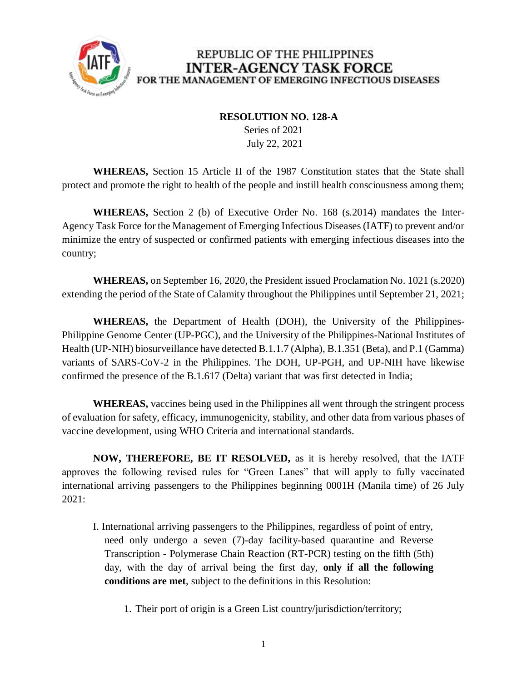

## REPUBLIC OF THE PHILIPPINES **INTER-AGENCY TASK FORCE** FOR THE MANAGEMENT OF EMERGING INFECTIOUS DISEASES

## **RESOLUTION NO. 128-A**

 Series of 2021 July 22, 2021

**WHEREAS,** Section 15 Article II of the 1987 Constitution states that the State shall protect and promote the right to health of the people and instill health consciousness among them;

**WHEREAS,** Section 2 (b) of Executive Order No. 168 (s.2014) mandates the Inter-Agency Task Force for the Management of Emerging Infectious Diseases (IATF) to prevent and/or minimize the entry of suspected or confirmed patients with emerging infectious diseases into the country;

**WHEREAS,** on September 16, 2020, the President issued Proclamation No. 1021 (s.2020) extending the period of the State of Calamity throughout the Philippines until September 21, 2021;

**WHEREAS,** the Department of Health (DOH), the University of the Philippines-Philippine Genome Center (UP-PGC), and the University of the Philippines-National Institutes of Health (UP-NIH) biosurveillance have detected B.1.1.7 (Alpha), B.1.351 (Beta), and P.1 (Gamma) variants of SARS-CoV-2 in the Philippines. The DOH, UP-PGH, and UP-NIH have likewise confirmed the presence of the B.1.617 (Delta) variant that was first detected in India;

**WHEREAS,** vaccines being used in the Philippines all went through the stringent process of evaluation for safety, efficacy, immunogenicity, stability, and other data from various phases of vaccine development, using WHO Criteria and international standards.

**NOW, THEREFORE, BE IT RESOLVED,** as it is hereby resolved, that the IATF approves the following revised rules for "Green Lanes" that will apply to fully vaccinated international arriving passengers to the Philippines beginning 0001H (Manila time) of 26 July 2021:

- I. International arriving passengers to the Philippines, regardless of point of entry, need only undergo a seven (7)-day facility-based quarantine and Reverse Transcription - Polymerase Chain Reaction (RT-PCR) testing on the fifth (5th) day, with the day of arrival being the first day, **only if all the following conditions are met**, subject to the definitions in this Resolution:
	- 1. Their port of origin is a Green List country/jurisdiction/territory;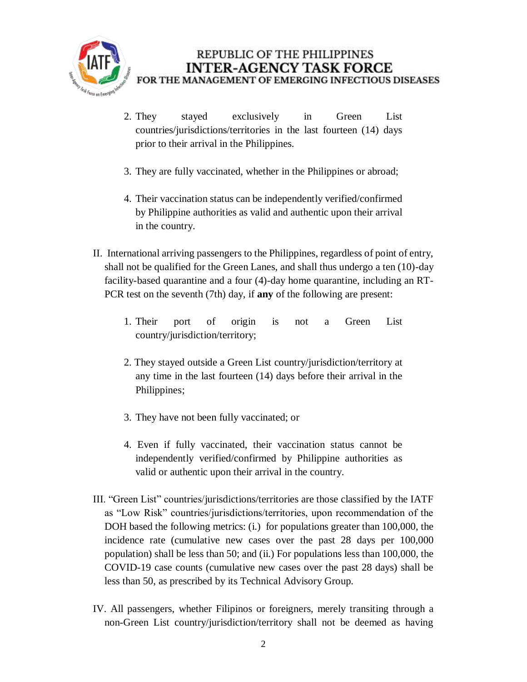

- 2. They stayed exclusively in Green List countries/jurisdictions/territories in the last fourteen (14) days prior to their arrival in the Philippines.
- 3. They are fully vaccinated, whether in the Philippines or abroad;
- 4. Their vaccination status can be independently verified/confirmed by Philippine authorities as valid and authentic upon their arrival in the country.
- II. International arriving passengers to the Philippines, regardless of point of entry, shall not be qualified for the Green Lanes, and shall thus undergo a ten (10)-day facility-based quarantine and a four (4)-day home quarantine, including an RT-PCR test on the seventh (7th) day, if **any** of the following are present:
	- 1. Their port of origin is not a Green List country/jurisdiction/territory;
	- 2. They stayed outside a Green List country/jurisdiction/territory at any time in the last fourteen (14) days before their arrival in the Philippines;
	- 3. They have not been fully vaccinated; or
	- 4. Even if fully vaccinated, their vaccination status cannot be independently verified/confirmed by Philippine authorities as valid or authentic upon their arrival in the country.
- III. "Green List" countries/jurisdictions/territories are those classified by the IATF as "Low Risk" countries/jurisdictions/territories, upon recommendation of the DOH based the following metrics: (i.) for populations greater than 100,000, the incidence rate (cumulative new cases over the past 28 days per 100,000 population) shall be less than 50; and (ii.) For populations less than 100,000, the COVID-19 case counts (cumulative new cases over the past 28 days) shall be less than 50, as prescribed by its Technical Advisory Group.
- IV. All passengers, whether Filipinos or foreigners, merely transiting through a non-Green List country/jurisdiction/territory shall not be deemed as having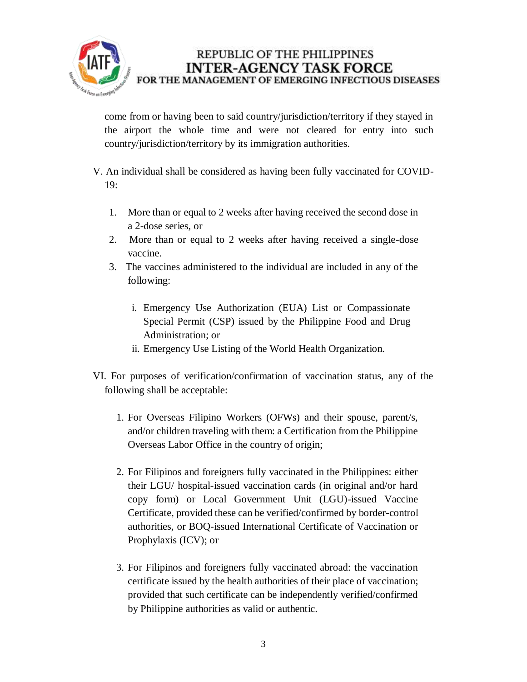

## REPUBLIC OF THE PHILIPPINES **INTER-AGENCY TASK FORCE** FOR THE MANAGEMENT OF EMERGING INFECTIOUS DISEASES

come from or having been to said country/jurisdiction/territory if they stayed in the airport the whole time and were not cleared for entry into such country/jurisdiction/territory by its immigration authorities.

- V. An individual shall be considered as having been fully vaccinated for COVID-19:
	- 1. More than or equal to 2 weeks after having received the second dose in a 2-dose series, or
	- 2. More than or equal to 2 weeks after having received a single-dose vaccine.
	- 3. The vaccines administered to the individual are included in any of the following:
		- i. Emergency Use Authorization (EUA) List or Compassionate Special Permit (CSP) issued by the Philippine Food and Drug Administration; or
		- ii. Emergency Use Listing of the World Health Organization.
- VI. For purposes of verification/confirmation of vaccination status, any of the following shall be acceptable:
	- 1. For Overseas Filipino Workers (OFWs) and their spouse, parent/s, and/or children traveling with them: a Certification from the Philippine Overseas Labor Office in the country of origin;
	- 2. For Filipinos and foreigners fully vaccinated in the Philippines: either their LGU/ hospital-issued vaccination cards (in original and/or hard copy form) or Local Government Unit (LGU)-issued Vaccine Certificate, provided these can be verified/confirmed by border-control authorities, or BOQ-issued International Certificate of Vaccination or Prophylaxis (ICV); or
	- 3. For Filipinos and foreigners fully vaccinated abroad: the vaccination certificate issued by the health authorities of their place of vaccination; provided that such certificate can be independently verified/confirmed by Philippine authorities as valid or authentic.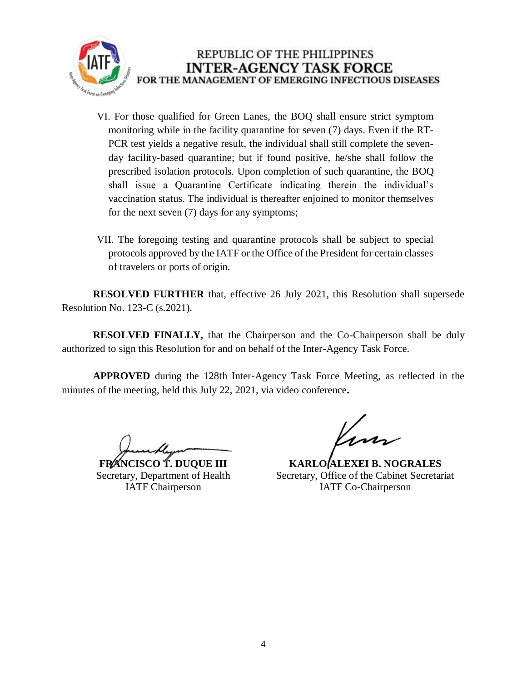

- VI. For those qualified for Green Lanes, the BOQ shall ensure strict symptom monitoring while in the facility quarantine for seven (7) days. Even if the RT-PCR test yields a negative result, the individual shall still complete the sevenday facility-based quarantine; but if found positive, he/she shall follow the prescribed isolation protocols. Upon completion of such quarantine, the BOQ shall issue a Quarantine Certificate indicating therein the individual's vaccination status. The individual is thereafter enjoined to monitor themselves for the next seven (7) days for any symptoms;
- VII. The foregoing testing and quarantine protocols shall be subject to special protocols approved by the IATF or the Office of the President for certain classes of travelers or ports of origin.

**RESOLVED FURTHER** that, effective 26 July 2021, this Resolution shall supersede Resolution No. 123-C (s.2021).

**RESOLVED FINALLY,** that the Chairperson and the Co-Chairperson shall be duly authorized to sign this Resolution for and on behalf of the Inter-Agency Task Force.

**APPROVED** during the 128th Inter-Agency Task Force Meeting, as reflected in the minutes of the meeting, held this July 22, 2021, via video conference**.**

**FRANCISCO T. DUQUE III** Secretary, Department of Health IATF Chairperson

**KARLO ALEXEI B. NOGRALES** Secretary, Office of the Cabinet Secretariat IATF Co-Chairperson